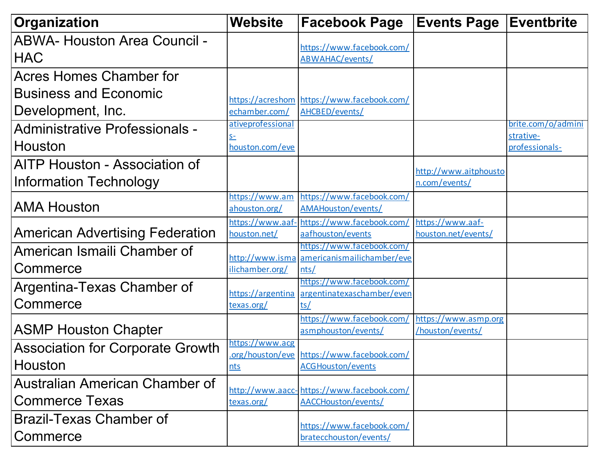| Organization                            | <b>Website</b>                   | <b>Facebook Page</b>                                         | <b>Events Page</b>                      | <b>Eventbrite</b>           |
|-----------------------------------------|----------------------------------|--------------------------------------------------------------|-----------------------------------------|-----------------------------|
| <b>ABWA- Houston Area Council -</b>     |                                  | https://www.facebook.com/                                    |                                         |                             |
| <b>HAC</b>                              |                                  | ABWAHAC/events/                                              |                                         |                             |
| <b>Acres Homes Chamber for</b>          |                                  |                                                              |                                         |                             |
| <b>Business and Economic</b>            |                                  |                                                              |                                         |                             |
| Development, Inc.                       | echamber.com/                    | https://acreshom https://www.facebook.com/<br>AHCBED/events/ |                                         |                             |
| <b>Administrative Professionals -</b>   | ativeprofessional                |                                                              |                                         | brite.com/o/admini          |
| Houston                                 | $S-$<br>houston.com/eve          |                                                              |                                         | strative-<br>professionals- |
| AITP Houston - Association of           |                                  |                                                              | http://www.aitphousto                   |                             |
| Information Technology                  |                                  |                                                              | n.com/events/                           |                             |
| <b>AMA Houston</b>                      | https://www.am<br>ahouston.org/  | https://www.facebook.com/<br>AMAHouston/events/              |                                         |                             |
| <b>American Advertising Federation</b>  | https://www.aaf-<br>houston.net/ | https://www.facebook.com/<br>aafhouston/events               | https://www.aaf-<br>houston.net/events/ |                             |
| American Ismaili Chamber of             |                                  | https://www.facebook.com/                                    |                                         |                             |
| Commerce                                | ilichamber.org/                  | http://www.isma americanismailichamber/eve<br>nts/           |                                         |                             |
| Argentina-Texas Chamber of              |                                  | https://www.facebook.com/                                    |                                         |                             |
| Commerce                                | https://argentina<br>texas.org/  | argentinatexaschamber/even<br>ts/                            |                                         |                             |
|                                         |                                  | https://www.facebook.com,                                    | https://www.asmp.org                    |                             |
| <b>ASMP Houston Chapter</b>             |                                  | asmphouston/events/                                          | /houston/events/                        |                             |
| <b>Association for Corporate Growth</b> | https://www.acg                  | org/houston/eve https://www.facebook.com/                    |                                         |                             |
| Houston                                 | nts                              | <b>ACGHouston/events</b>                                     |                                         |                             |
| Australian American Chamber of          |                                  | http://www.aacc-https://www.facebook.com/                    |                                         |                             |
| <b>Commerce Texas</b>                   | texas.org/                       | <b>AACCHouston/events/</b>                                   |                                         |                             |
| <b>Brazil-Texas Chamber of</b>          |                                  | https://www.facebook.com/                                    |                                         |                             |
| Commerce                                |                                  | bratecchouston/events/                                       |                                         |                             |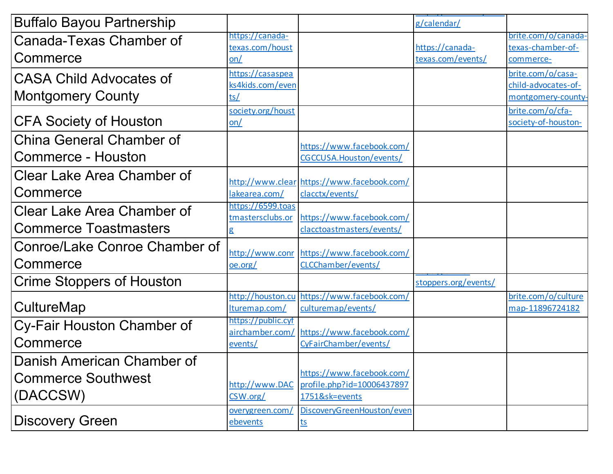| <b>Buffalo Bayou Partnership</b> |                                       |                                            | g/calendar/          |                                         |
|----------------------------------|---------------------------------------|--------------------------------------------|----------------------|-----------------------------------------|
|                                  | https://canada-                       |                                            |                      | brite.com/o/canada-                     |
| Canada-Texas Chamber of          | texas.com/houst                       |                                            | https://canada-      | texas-chamber-of-                       |
| Commerce                         | on/                                   |                                            | texas.com/events/    | commerce-                               |
| <b>CASA Child Advocates of</b>   | https://casaspea                      |                                            |                      | brite.com/o/casa-                       |
|                                  | ks4kids.com/even                      |                                            |                      | child-advocates-of-                     |
| <b>Montgomery County</b>         | ts/                                   |                                            |                      | montgomery-county-                      |
| <b>CFA Society of Houston</b>    | society.org/houst<br>on/              |                                            |                      | brite.com/o/cfa-<br>society-of-houston- |
|                                  |                                       |                                            |                      |                                         |
| <b>China General Chamber of</b>  |                                       | https://www.facebook.com/                  |                      |                                         |
| Commerce - Houston               |                                       | CGCCUSA.Houston/events/                    |                      |                                         |
| Clear Lake Area Chamber of       |                                       |                                            |                      |                                         |
|                                  |                                       | http://www.clear https://www.facebook.com/ |                      |                                         |
| Commerce                         | lakearea.com/                         | clacctx/events/                            |                      |                                         |
| Clear Lake Area Chamber of       | https://6599.toas<br>tmastersclubs.or | https://www.facebook.com/                  |                      |                                         |
| <b>Commerce Toastmasters</b>     | g                                     | clacctoastmasters/events/                  |                      |                                         |
| Conroe/Lake Conroe Chamber of    |                                       |                                            |                      |                                         |
| Commerce                         | http://www.conr                       | https://www.facebook.com/                  |                      |                                         |
|                                  | oe.org/                               | CLCChamber/events/                         |                      |                                         |
| Crime Stoppers of Houston        |                                       |                                            | stoppers.org/events/ |                                         |
|                                  | http://houston.cu                     | https://www.facebook.com/                  |                      | brite.com/o/culture                     |
| CultureMap                       | lturemap.com/                         | culturemap/events/                         |                      | map-11896724182                         |
| Cy-Fair Houston Chamber of       | https://public.cyf<br>airchamber.com/ | https://www.facebook.com/                  |                      |                                         |
| Commerce                         | events/                               | CyFairChamber/events/                      |                      |                                         |
| Danish American Chamber of       |                                       |                                            |                      |                                         |
|                                  |                                       | https://www.facebook.com/                  |                      |                                         |
| <b>Commerce Southwest</b>        | http://www.DAC                        | profile.php?id=10006437897                 |                      |                                         |
| (DACCSW)                         | CSW.org/                              | 1751&sk=events                             |                      |                                         |
|                                  | overygreen.com/                       | DiscoveryGreenHouston/even                 |                      |                                         |
| <b>Discovery Green</b>           | ebevents                              | <u>ts</u>                                  |                      |                                         |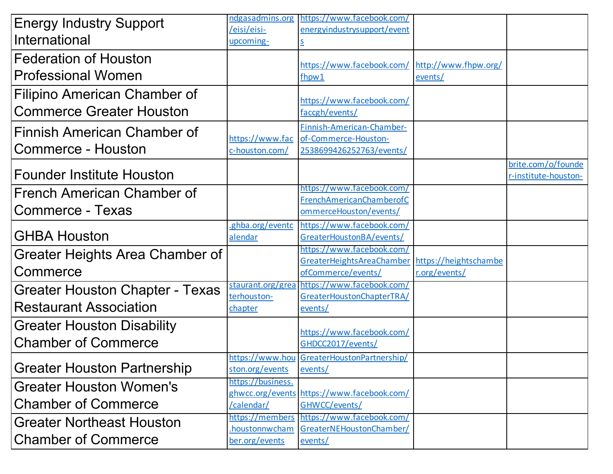| <b>Energy Industry Support</b>         | ndgasadmins.org   | https://www.facebook.com/                                             |               |                                            |
|----------------------------------------|-------------------|-----------------------------------------------------------------------|---------------|--------------------------------------------|
|                                        | /eisi/eisi-       | energyindustrysupport/event                                           |               |                                            |
| International                          | upcoming-         |                                                                       |               |                                            |
| <b>Federation of Houston</b>           |                   | https://www.facebook.com/ http://www.fhpw.org/                        |               |                                            |
| <b>Professional Women</b>              |                   | fhpw1                                                                 | events/       |                                            |
| Filipino American Chamber of           |                   | https://www.facebook.com/                                             |               |                                            |
| <b>Commerce Greater Houston</b>        |                   | faccgh/events/                                                        |               |                                            |
| Finnish American Chamber of            |                   | Finnish-American-Chamber-                                             |               |                                            |
|                                        | https://www.fac   | of-Commerce-Houston-                                                  |               |                                            |
| <b>Commerce - Houston</b>              | c-houston.com/    | 2538699426252763/events/                                              |               |                                            |
| <b>Founder Institute Houston</b>       |                   |                                                                       |               | brite.com/o/founde<br>r-institute-houston- |
|                                        |                   | https://www.facebook.com/                                             |               |                                            |
| <b>French American Chamber of</b>      |                   | FrenchAmericanChamberofC                                              |               |                                            |
| <b>Commerce - Texas</b>                |                   | ommerceHouston/events/                                                |               |                                            |
|                                        | ghba.org/eventc   | https://www.facebook.com/                                             |               |                                            |
| <b>GHBA Houston</b>                    | alendar           | GreaterHoustonBA/events/                                              |               |                                            |
| Greater Heights Area Chamber of        |                   | https://www.facebook.com/                                             |               |                                            |
| Commerce                               |                   | GreaterHeightsAreaChamber https://heightschambe<br>ofCommerce/events/ | r.org/events/ |                                            |
|                                        | staurant.org/grea | https://www.facebook.com/                                             |               |                                            |
| <b>Greater Houston Chapter - Texas</b> | terhouston-       | GreaterHoustonChapterTRA/                                             |               |                                            |
| <b>Restaurant Association</b>          | chapter           | events/                                                               |               |                                            |
| <b>Greater Houston Disability</b>      |                   | https://www.facebook.com/                                             |               |                                            |
| <b>Chamber of Commerce</b>             |                   | GHDCC2017/events/                                                     |               |                                            |
|                                        |                   | https://www.hou GreaterHoustonPartnership/                            |               |                                            |
| <b>Greater Houston Partnership</b>     | ston.org/events   | events/                                                               |               |                                            |
| <b>Greater Houston Women's</b>         | https://business. |                                                                       |               |                                            |
| <b>Chamber of Commerce</b>             | /calendar/        | ghwcc.org/events https://www.facebook.com/<br>GHWCC/events/           |               |                                            |
|                                        | https://members   | https://www.facebook.com/                                             |               |                                            |
| <b>Greater Northeast Houston</b>       | houstonnwcham     | GreaterNEHoustonChamber/                                              |               |                                            |
| <b>Chamber of Commerce</b>             | ber.org/events    | events/                                                               |               |                                            |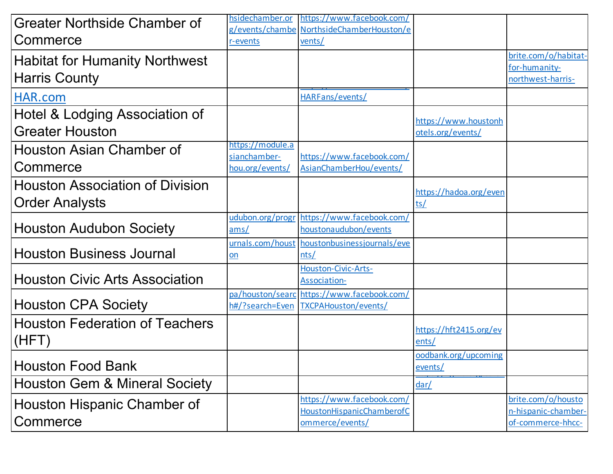| Greater Northside Chamber of             | hsidechamber.or  | https://www.facebook.com/                    |                                           |                                           |
|------------------------------------------|------------------|----------------------------------------------|-------------------------------------------|-------------------------------------------|
|                                          |                  | g/events/chambe NorthsideChamberHouston/e    |                                           |                                           |
| Commerce                                 | r-events         | vents/                                       |                                           |                                           |
| <b>Habitat for Humanity Northwest</b>    |                  |                                              |                                           | brite.com/o/habitat-                      |
|                                          |                  |                                              |                                           | for-humanity-                             |
| <b>Harris County</b>                     |                  |                                              |                                           | northwest-harris-                         |
| HAR.com                                  |                  | HARFans/events/                              |                                           |                                           |
| Hotel & Lodging Association of           |                  |                                              |                                           |                                           |
| <b>Greater Houston</b>                   |                  |                                              | https://www.houstonh<br>otels.org/events/ |                                           |
|                                          | https://module.a |                                              |                                           |                                           |
| Houston Asian Chamber of                 | sianchamber-     | https://www.facebook.com/                    |                                           |                                           |
| Commerce                                 | hou.org/events/  | AsianChamberHou/events/                      |                                           |                                           |
| <b>Houston Association of Division</b>   |                  |                                              |                                           |                                           |
|                                          |                  |                                              | https://hadoa.org/even                    |                                           |
| <b>Order Analysts</b>                    |                  |                                              | ts/                                       |                                           |
|                                          | udubon.org/progr | https://www.facebook.com/                    |                                           |                                           |
| <b>Houston Audubon Society</b>           | ams/             | houstonaudubon/events                        |                                           |                                           |
|                                          |                  | urnals.com/houst houstonbusinessjournals/eve |                                           |                                           |
| <b>Houston Business Journal</b>          | $on$             | nts/                                         |                                           |                                           |
|                                          |                  | Houston-Civic-Arts-                          |                                           |                                           |
| <b>Houston Civic Arts Association</b>    |                  | Association-                                 |                                           |                                           |
|                                          |                  | pa/houston/searc https://www.facebook.com/   |                                           |                                           |
| <b>Houston CPA Society</b>               | h#/?search=Even  | TXCPAHouston/events/                         |                                           |                                           |
| <b>Houston Federation of Teachers</b>    |                  |                                              | https://hft2415.org/ev                    |                                           |
| (HFT)                                    |                  |                                              | ents/                                     |                                           |
|                                          |                  |                                              | oodbank.org/upcoming                      |                                           |
| <b>Houston Food Bank</b>                 |                  |                                              | events/                                   |                                           |
| <b>Houston Gem &amp; Mineral Society</b> |                  |                                              | dar/                                      |                                           |
|                                          |                  | https://www.facebook.com/                    |                                           |                                           |
| Houston Hispanic Chamber of              |                  | HoustonHispanicChamberofC                    |                                           | brite.com/o/housto<br>n-hispanic-chamber- |
| Commerce                                 |                  | ommerce/events/                              |                                           | of-commerce-hhcc-                         |
|                                          |                  |                                              |                                           |                                           |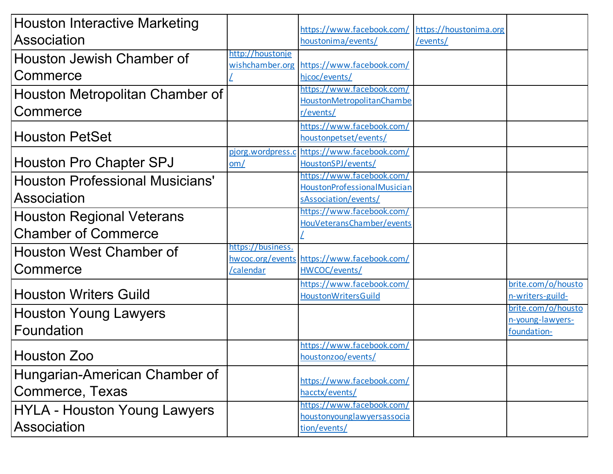| <b>Houston Interactive Marketing</b>   |                          | https://www.facebook.com/                          | https://houstonima.org |                                        |
|----------------------------------------|--------------------------|----------------------------------------------------|------------------------|----------------------------------------|
| Association                            |                          | houstonima/events/                                 | /events/               |                                        |
| Houston Jewish Chamber of              | http://houstonje         |                                                    |                        |                                        |
|                                        | wishchamber.org          | https://www.facebook.com/                          |                        |                                        |
| Commerce                               |                          | hjcoc/events/                                      |                        |                                        |
| Houston Metropolitan Chamber of        |                          | https://www.facebook.com/                          |                        |                                        |
| Commerce                               |                          | HoustonMetropolitanChambe                          |                        |                                        |
|                                        |                          | r/events/                                          |                        |                                        |
| <b>Houston PetSet</b>                  |                          | https://www.facebook.com/<br>houstonpetset/events/ |                        |                                        |
|                                        |                          |                                                    |                        |                                        |
| Houston Pro Chapter SPJ                | pjorg.wordpress.c<br>om/ | https://www.facebook.com/<br>HoustonSPJ/events/    |                        |                                        |
|                                        |                          | https://www.facebook.com/                          |                        |                                        |
| <b>Houston Professional Musicians'</b> |                          | HoustonProfessionalMusician                        |                        |                                        |
| Association                            |                          | sAssociation/events/                               |                        |                                        |
|                                        |                          | https://www.facebook.com/                          |                        |                                        |
| <b>Houston Regional Veterans</b>       |                          | HouVeteransChamber/events                          |                        |                                        |
| <b>Chamber of Commerce</b>             |                          |                                                    |                        |                                        |
| <b>Houston West Chamber of</b>         | https://business.        |                                                    |                        |                                        |
|                                        |                          | hwcoc.org/events https://www.facebook.com/         |                        |                                        |
| Commerce                               | calendar                 | HWCOC/events/                                      |                        |                                        |
|                                        |                          | https://www.facebook.com/                          |                        | brite.com/o/housto                     |
| <b>Houston Writers Guild</b>           |                          | <b>HoustonWritersGuild</b>                         |                        | n-writers-guild-                       |
| <b>Houston Young Lawyers</b>           |                          |                                                    |                        | brite.com/o/housto<br>n-young-lawyers- |
| Foundation                             |                          |                                                    |                        | foundation-                            |
|                                        |                          | https://www.facebook.com/                          |                        |                                        |
| Houston Zoo                            |                          | houstonzoo/events/                                 |                        |                                        |
|                                        |                          |                                                    |                        |                                        |
| Hungarian-American Chamber of          |                          | https://www.facebook.com/                          |                        |                                        |
| Commerce, Texas                        |                          | hacctx/events/                                     |                        |                                        |
| <b>HYLA - Houston Young Lawyers</b>    |                          | https://www.facebook.com/                          |                        |                                        |
|                                        |                          | houstonyounglawyersassocia                         |                        |                                        |
| Association                            |                          | tion/events/                                       |                        |                                        |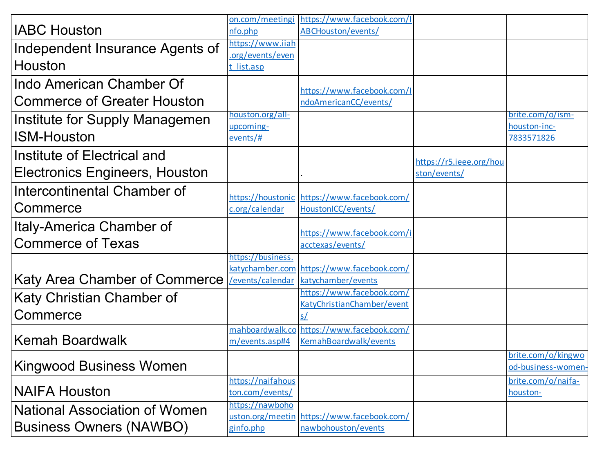|                                      |                   | on.com/meetingi https://www.facebook.com/I      |                         |                    |
|--------------------------------------|-------------------|-------------------------------------------------|-------------------------|--------------------|
| <b>IABC Houston</b>                  | nfo.php           | ABCHouston/events/                              |                         |                    |
| Independent Insurance Agents of      | https://www.iiah  |                                                 |                         |                    |
|                                      | .org/events/even  |                                                 |                         |                    |
| Houston                              | t list.asp        |                                                 |                         |                    |
| Indo American Chamber Of             |                   | https://www.facebook.com/I                      |                         |                    |
| <b>Commerce of Greater Houston</b>   |                   | ndoAmericanCC/events/                           |                         |                    |
|                                      | houston.org/all-  |                                                 |                         | brite.com/o/ism-   |
| Institute for Supply Managemen       | upcoming-         |                                                 |                         | houston-inc-       |
| <b>ISM-Houston</b>                   | events/#          |                                                 |                         | 7833571826         |
| Institute of Electrical and          |                   |                                                 |                         |                    |
| Electronics Engineers, Houston       |                   |                                                 | https://r5.ieee.org/hou |                    |
|                                      |                   |                                                 | ston/events/            |                    |
| Intercontinental Chamber of          |                   | https://houstonic https://www.facebook.com/     |                         |                    |
| Commerce                             | c.org/calendar    | HoustonICC/events/                              |                         |                    |
| Italy-America Chamber of             |                   |                                                 |                         |                    |
|                                      |                   | https://www.facebook.com/i                      |                         |                    |
| <b>Commerce of Texas</b>             |                   | acctexas/events/                                |                         |                    |
|                                      | https://business. |                                                 |                         |                    |
|                                      |                   | katychamber.com https://www.facebook.com/       |                         |                    |
| Katy Area Chamber of Commerce        | events/calendar   | katychamber/events<br>https://www.facebook.com/ |                         |                    |
| Katy Christian Chamber of            |                   | KatyChristianChamber/event                      |                         |                    |
| Commerce                             |                   |                                                 |                         |                    |
|                                      |                   | mahboardwalk.co https://www.facebook.com/       |                         |                    |
| <b>Kemah Boardwalk</b>               | m/events.asp#4    | KemahBoardwalk/events                           |                         |                    |
|                                      |                   |                                                 |                         | brite.com/o/kingwo |
| <b>Kingwood Business Women</b>       |                   |                                                 |                         | od-business-women- |
|                                      | https://naifahous |                                                 |                         | brite.com/o/naifa- |
| <b>NAIFA Houston</b>                 | ton.com/events/   |                                                 |                         | houston-           |
| <b>National Association of Women</b> | https://nawboho   |                                                 |                         |                    |
|                                      |                   | uston.org/meetin https://www.facebook.com/      |                         |                    |
| <b>Business Owners (NAWBO)</b>       | ginfo.php         | nawbohouston/events                             |                         |                    |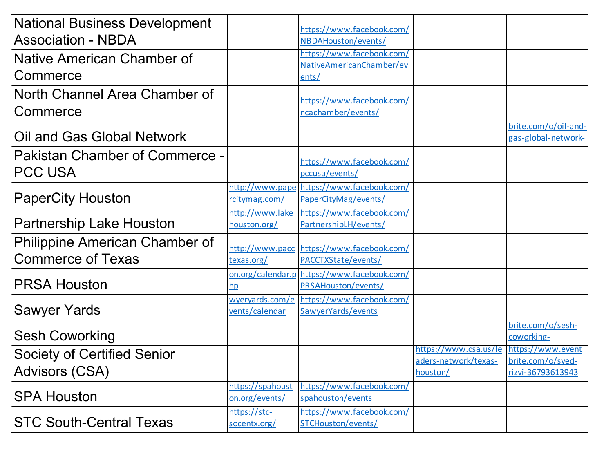| <b>National Business Development</b>                    |                  | https://www.facebook.com/                   |                                                                   |                                             |
|---------------------------------------------------------|------------------|---------------------------------------------|-------------------------------------------------------------------|---------------------------------------------|
| <b>Association - NBDA</b>                               |                  | NBDAHouston/events/                         |                                                                   |                                             |
| Native American Chamber of                              |                  | https://www.facebook.com/                   |                                                                   |                                             |
|                                                         |                  | NativeAmericanChamber/ev                    |                                                                   |                                             |
| Commerce                                                |                  | ents/                                       |                                                                   |                                             |
| North Channel Area Chamber of                           |                  | https://www.facebook.com/                   |                                                                   |                                             |
| Commerce                                                |                  | ncachamber/events/                          |                                                                   |                                             |
| Oil and Gas Global Network                              |                  |                                             |                                                                   | brite.com/o/oil-and-<br>gas-global-network- |
| <b>Pakistan Chamber of Commerce -</b><br><b>PCC USA</b> |                  | https://www.facebook.com/<br>pccusa/events/ |                                                                   |                                             |
|                                                         |                  | http://www.pape https://www.facebook.com/   |                                                                   |                                             |
| <b>PaperCity Houston</b>                                | rcitymag.com/    | PaperCityMag/events/                        |                                                                   |                                             |
|                                                         | http://www.lake  | https://www.facebook.com/                   |                                                                   |                                             |
| <b>Partnership Lake Houston</b>                         | houston.org/     | PartnershipLH/events/                       |                                                                   |                                             |
| <b>Philippine American Chamber of</b>                   |                  | http://www.pacc https://www.facebook.com/   |                                                                   |                                             |
| <b>Commerce of Texas</b>                                | texas.org/       | PACCTXState/events/                         |                                                                   |                                             |
|                                                         |                  | on.org/calendar.p https://www.facebook.com/ |                                                                   |                                             |
| <b>PRSA Houston</b>                                     | hp               | PRSAHouston/events/                         |                                                                   |                                             |
|                                                         |                  | wyeryards.com/e https://www.facebook.com/   |                                                                   |                                             |
| <b>Sawyer Yards</b>                                     | vents/calendar   | SawyerYards/events                          |                                                                   |                                             |
|                                                         |                  |                                             |                                                                   | brite.com/o/sesh-                           |
| <b>Sesh Coworking</b>                                   |                  |                                             |                                                                   | coworking-                                  |
| <b>Society of Certified Senior</b>                      |                  |                                             | https://www.csa.us/le   https://www.event<br>aders-network/texas- | brite.com/o/syed-                           |
| <b>Advisors (CSA)</b>                                   |                  |                                             | houston/                                                          | rizvi-36793613943                           |
|                                                         | https://spahoust | https://www.facebook.com/                   |                                                                   |                                             |
| <b>SPA Houston</b>                                      | on.org/events/   | spahouston/events                           |                                                                   |                                             |
|                                                         | https://stc-     | https://www.facebook.com/                   |                                                                   |                                             |
| <b>STC South-Central Texas</b>                          | socentx.org/     | STCHouston/events/                          |                                                                   |                                             |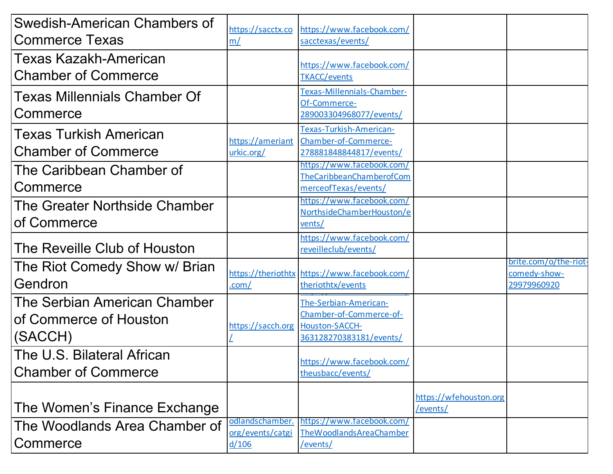| Swedish-American Chambers of                                      | https://sacctx.co                            | https://www.facebook.com/                                                                   |                                    |                                                      |
|-------------------------------------------------------------------|----------------------------------------------|---------------------------------------------------------------------------------------------|------------------------------------|------------------------------------------------------|
| <b>Commerce Texas</b>                                             | m/                                           | sacctexas/events/                                                                           |                                    |                                                      |
| Texas Kazakh-American<br><b>Chamber of Commerce</b>               |                                              | https://www.facebook.com/<br><b>TKACC/events</b>                                            |                                    |                                                      |
| <b>Texas Millennials Chamber Of</b><br>Commerce                   |                                              | Texas-Millennials-Chamber-<br>Of-Commerce-<br>289003304968077/events/                       |                                    |                                                      |
| <b>Texas Turkish American</b><br><b>Chamber of Commerce</b>       | urkic.org/                                   | Texas-Turkish-American-<br>https://ameriant Chamber-of-Commerce-<br>278881848844817/events/ |                                    |                                                      |
| The Caribbean Chamber of<br>Commerce                              |                                              | https://www.facebook.com/<br>TheCaribbeanChamberofCom<br>merceofTexas/events/               |                                    |                                                      |
| The Greater Northside Chamber<br>of Commerce                      |                                              | https://www.facebook.com/<br>NorthsideChamberHouston/e<br>vents/                            |                                    |                                                      |
| The Reveille Club of Houston                                      |                                              | https://www.facebook.com/<br>reveilleclub/events/                                           |                                    |                                                      |
| The Riot Comedy Show w/ Brian<br>Gendron                          | .com/                                        | https://theriothtx https://www.facebook.com/<br>theriothtx/events                           |                                    | brite.com/o/the-riot-<br>comedy-show-<br>29979960920 |
| The Serbian American Chamber<br>of Commerce of Houston<br>(SACCH) | https://sacch.org Houston-SACCH-             | The-Serbian-American-<br>Chamber-of-Commerce-of-<br>363128270383181/events/                 |                                    |                                                      |
| The U.S. Bilateral African<br><b>Chamber of Commerce</b>          |                                              | https://www.facebook.com/<br>theusbacc/events/                                              |                                    |                                                      |
| The Women's Finance Exchange                                      |                                              |                                                                                             | https://wfehouston.org<br>/events/ |                                                      |
| The Woodlands Area Chamber of<br>Commerce                         | odlandschamber.<br>org/events/catgi<br>d/106 | https://www.facebook.com/<br>TheWoodlandsAreaChamber<br>/events/                            |                                    |                                                      |